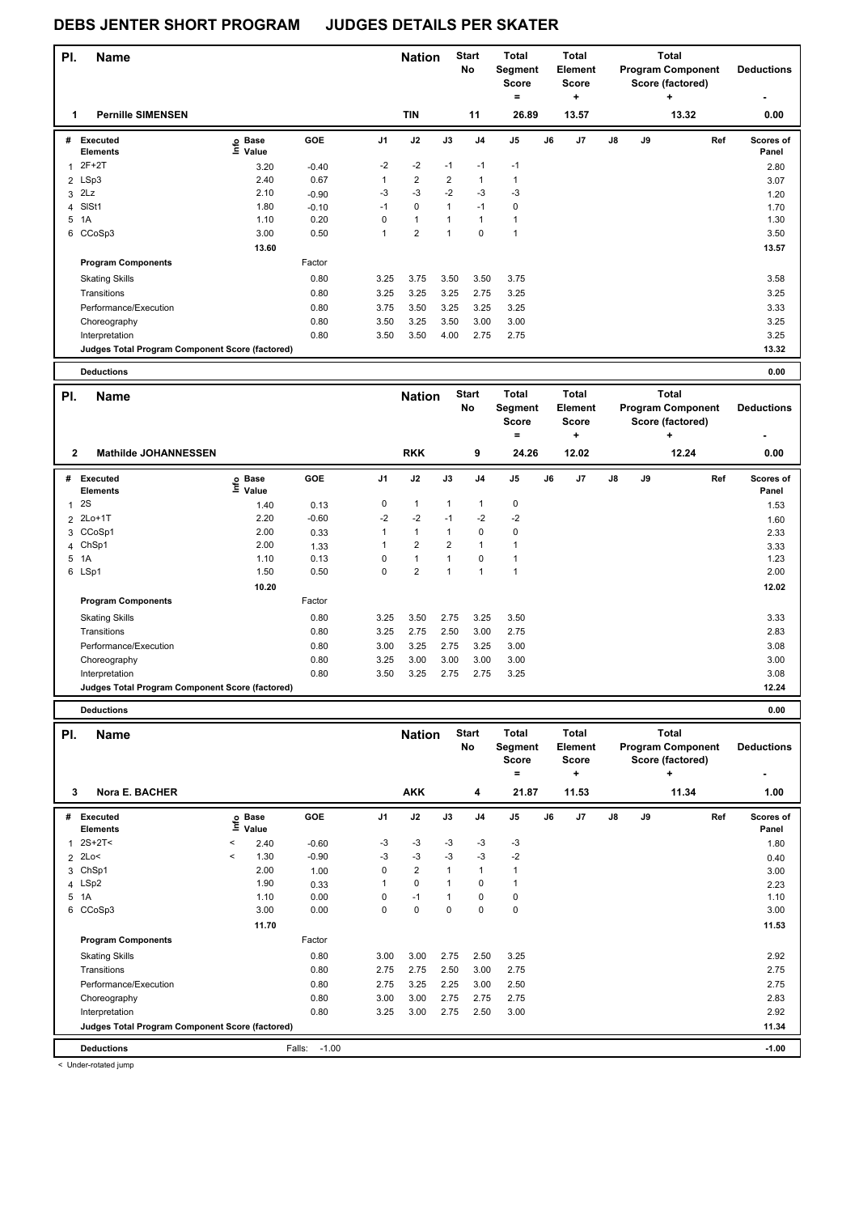#### **Name Deductions - Nation** Start Total **Segment Score = Total Element Score + Total Program Component Score (factored) + PI.** Name **Start PI.** Nation Start **No # Executed Elements Base Value GOE J1 J2 J3 J4 J5 J6 J7 J8 J9 Scores of Panel** 1 3.20 -0.40 -2 -2 -1 -1 -1 **Ref**  Executed<br>2 Depase GOE 11 J2 J3 J4 J5 J6 J7 J8 J9 Ker Scores<br>2F+2T 3.20 -0.40 -2 -2 -1 -1 -1 2.80  **1 Pernille SIMENSEN TIN 11 26.89 13.57 13.32 0.00** 2 LSp3 2.40 0.67 1 2 2 1 1 2 2 2 2 3.07  $3$  2Lz  $2.10$   $-0.90$   $-3$   $-3$   $-2$   $-3$   $-3$ 4 SlSt1 1.80 -0.10 -1 0 1 -1 0 1.70 5 1A 1.10 0.20 0 1 1 1 1 1.30 6 CCoSp3 3.00 0.50 1 2 1 0 1 3.50  **13.60** 13.57 **Program Components**  Skating Skills 3.25 3.75 3.50 3.75 3.75 3.50 3.75 Factor 0.80 3.25 3.75 3.50 3.50 3.75 3.75 3.58 Transitions 0.80 3.25 3.25 3.25 2.75 3.25 3.25 Performance/Execution 0.80 3.75 3.50 3.25 3.25 3.25 3.33 Choreography 0.80 3.50 3.25 3.50 3.00 3.00 3.25 Interpretation 0.80 3.50 3.50 4.00 2.75 2.75 3.25 **Judges Total Program Component Score (factored) 13.32**

| <b>Deductions</b> | 0.00 |
|-------------------|------|

| PI.            | <b>Name</b>                                     |                            |            |                | <b>Nation</b>  |                | <b>Start</b><br>No | <b>Total</b><br>Segment<br><b>Score</b><br>$=$ |    | Total<br>Element<br><b>Score</b><br>÷ |               |    | <b>Total</b><br><b>Program Component</b><br>Score (factored)<br>÷ | <b>Deductions</b><br>٠    |
|----------------|-------------------------------------------------|----------------------------|------------|----------------|----------------|----------------|--------------------|------------------------------------------------|----|---------------------------------------|---------------|----|-------------------------------------------------------------------|---------------------------|
| $\overline{2}$ | <b>Mathilde JOHANNESSEN</b>                     |                            |            |                | <b>RKK</b>     |                | 9                  | 24.26                                          |    | 12.02                                 |               |    | 12.24                                                             | 0.00                      |
| #              | Executed<br><b>Elements</b>                     | e Base<br>E Value<br>Value | <b>GOE</b> | J <sub>1</sub> | J2             | J3             | J <sub>4</sub>     | J <sub>5</sub>                                 | J6 | J <sub>7</sub>                        | $\mathsf{J}8$ | J9 | Ref                                                               | <b>Scores of</b><br>Panel |
| 1              | 2S                                              | 1.40                       | 0.13       | 0              | 1              | 1              | $\overline{1}$     | 0                                              |    |                                       |               |    |                                                                   | 1.53                      |
|                | 2 2Lo+1T                                        | 2.20                       | $-0.60$    | $-2$           | $-2$           | $-1$           | $-2$               | -2                                             |    |                                       |               |    |                                                                   | 1.60                      |
| 3              | CCoSp1                                          | 2.00                       | 0.33       | 1              | $\mathbf{1}$   | $\mathbf{1}$   | 0                  | 0                                              |    |                                       |               |    |                                                                   | 2.33                      |
|                | 4 ChSp1                                         | 2.00                       | 1.33       | 1              | $\overline{2}$ | $\overline{2}$ | 1                  |                                                |    |                                       |               |    |                                                                   | 3.33                      |
|                | 5 1A                                            | 1.10                       | 0.13       | $\Omega$       | 1              | 4              | 0                  |                                                |    |                                       |               |    |                                                                   | 1.23                      |
|                | 6 LSp1                                          | 1.50                       | 0.50       | 0              | $\overline{2}$ | и              | 1                  |                                                |    |                                       |               |    |                                                                   | 2.00                      |
|                |                                                 | 10.20                      |            |                |                |                |                    |                                                |    |                                       |               |    |                                                                   | 12.02                     |
|                | <b>Program Components</b>                       |                            | Factor     |                |                |                |                    |                                                |    |                                       |               |    |                                                                   |                           |
|                | <b>Skating Skills</b>                           |                            | 0.80       | 3.25           | 3.50           | 2.75           | 3.25               | 3.50                                           |    |                                       |               |    |                                                                   | 3.33                      |
|                | Transitions                                     |                            | 0.80       | 3.25           | 2.75           | 2.50           | 3.00               | 2.75                                           |    |                                       |               |    |                                                                   | 2.83                      |
|                | Performance/Execution                           |                            | 0.80       | 3.00           | 3.25           | 2.75           | 3.25               | 3.00                                           |    |                                       |               |    |                                                                   | 3.08                      |
|                | Choreography                                    |                            | 0.80       | 3.25           | 3.00           | 3.00           | 3.00               | 3.00                                           |    |                                       |               |    |                                                                   | 3.00                      |
|                | Interpretation                                  |                            | 0.80       | 3.50           | 3.25           | 2.75           | 2.75               | 3.25                                           |    |                                       |               |    |                                                                   | 3.08                      |
|                | Judges Total Program Component Score (factored) |                            |            |                |                |                |                    |                                                |    |                                       |               |    |                                                                   | 12.24                     |

**Deductions 0.00**

**Name Deductions - Nation Total Pl. Start Segment Score = Total Element Score + Total Program Component Score (factored) + No # Executed Elements**   $\frac{1}{2}$  Base **Value GOE J1 J2 J3 J4 J5 J6 J7 J8 J9 Scores of Panel** 1 2.40 -0.60 -3 -3 -3 -3 -3 **Ref**  2S+2T< < 1.80 **Info 3 Nora E. BACHER AKK 4 21.87 11.53 11.34 1.00** 2 2Lo< < 1.30 -0.90 -3 -3 -3 -3 -2 0.40 3 ChSp1 2.00 1.00 0 2 1 1 1 3.00 4 LSp2 1.90 0.33 1 0 1 0 1 2.23 5 1A 1.10 0.00 0 -1 1 0 0 1.10 6 CCoSp3 3.00 0.00 0 0 0 0 0 3.00  **11.70 11.53 Program Components**  Skating Skills 3.00 3.00 3.00 3.25 3.25 3.25 Factor 0.80 2.92 Transitions 0.80 2.75 2.75 2.50 3.00 2.75 2.75 Performance/Execution 0.80 2.75 3.25 2.25 3.00 2.50 2.75 Choreography 0.80 3.00 3.00 2.75 2.75 2.75 2.83 Interpretation 0.80 3.25 3.00 2.75 2.50 3.00 2.92 **Deductions** Falls: -1.00 **-1.00 Judges Total Program Component Score (factored) 11.34**

< Under-rotated jump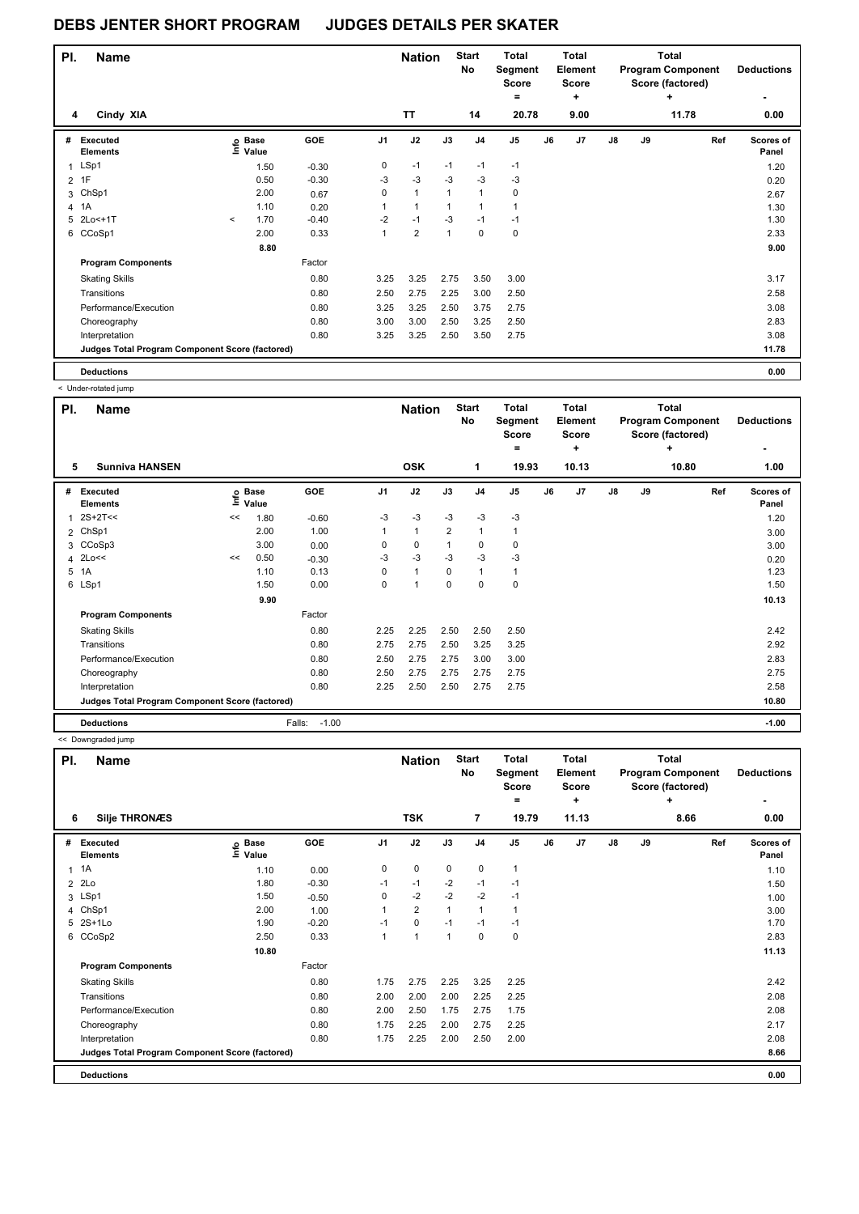| PI.            | <b>Name</b>                                     |         |                                  |         |                | <b>Nation</b>        |              | <b>Start</b><br>No | <b>Total</b><br>Segment<br><b>Score</b> |    | <b>Total</b><br>Element<br><b>Score</b> |               |    | <b>Total</b><br><b>Program Component</b><br>Score (factored) | <b>Deductions</b>  |
|----------------|-------------------------------------------------|---------|----------------------------------|---------|----------------|----------------------|--------------|--------------------|-----------------------------------------|----|-----------------------------------------|---------------|----|--------------------------------------------------------------|--------------------|
| 4              | Cindy XIA                                       |         |                                  |         |                | <b>TT</b>            |              | 14                 | $=$<br>20.78                            |    | ٠<br>9.00                               |               |    | $\ddot{}$<br>11.78                                           | 0.00               |
| #              | Executed<br><b>Elements</b>                     |         | <b>Base</b><br>e Base<br>⊑ Value | GOE     | J <sub>1</sub> | J2                   | J3           | J <sub>4</sub>     | J <sub>5</sub>                          | J6 | J7                                      | $\mathsf{J}8$ | J9 | Ref                                                          | Scores of<br>Panel |
| $\mathbf{1}$   | LSp1                                            |         | 1.50                             | $-0.30$ | 0              | $-1$                 | $-1$         | $-1$               | $-1$                                    |    |                                         |               |    |                                                              | 1.20               |
| 2              | 1F                                              |         | 0.50                             | $-0.30$ | $-3$           | $-3$                 | $-3$         | $-3$               | $-3$                                    |    |                                         |               |    |                                                              | 0.20               |
| 3              | ChSp1                                           |         | 2.00                             | 0.67    | 0              | $\mathbf{1}$         | $\mathbf{1}$ | $\mathbf{1}$       | 0                                       |    |                                         |               |    |                                                              | 2.67               |
| $\overline{4}$ | 1A                                              |         | 1.10                             | 0.20    | 1              | $\blacktriangleleft$ | -1           | -1                 | 1                                       |    |                                         |               |    |                                                              | 1.30               |
| 5              | 2Lo<+1T                                         | $\prec$ | 1.70                             | $-0.40$ | $-2$           | $-1$                 | $-3$         | $-1$               | $-1$                                    |    |                                         |               |    |                                                              | 1.30               |
|                | 6 CCoSp1                                        |         | 2.00                             | 0.33    | 1              | $\overline{2}$       | 1            | $\mathbf 0$        | $\mathbf 0$                             |    |                                         |               |    |                                                              | 2.33               |
|                |                                                 |         | 8.80                             |         |                |                      |              |                    |                                         |    |                                         |               |    |                                                              | 9.00               |
|                | <b>Program Components</b>                       |         |                                  | Factor  |                |                      |              |                    |                                         |    |                                         |               |    |                                                              |                    |
|                | <b>Skating Skills</b>                           |         |                                  | 0.80    | 3.25           | 3.25                 | 2.75         | 3.50               | 3.00                                    |    |                                         |               |    |                                                              | 3.17               |
|                | Transitions                                     |         |                                  | 0.80    | 2.50           | 2.75                 | 2.25         | 3.00               | 2.50                                    |    |                                         |               |    |                                                              | 2.58               |
|                | Performance/Execution                           |         |                                  | 0.80    | 3.25           | 3.25                 | 2.50         | 3.75               | 2.75                                    |    |                                         |               |    |                                                              | 3.08               |
|                | Choreography                                    |         |                                  | 0.80    | 3.00           | 3.00                 | 2.50         | 3.25               | 2.50                                    |    |                                         |               |    |                                                              | 2.83               |
|                | Interpretation                                  |         |                                  | 0.80    | 3.25           | 3.25                 | 2.50         | 3.50               | 2.75                                    |    |                                         |               |    |                                                              | 3.08               |
|                | Judges Total Program Component Score (factored) |         |                                  |         |                |                      |              |                    |                                         |    |                                         |               |    |                                                              | 11.78              |
|                | <b>Deductions</b>                               |         |                                  |         |                |                      |              |                    |                                         |    |                                         |               |    |                                                              | 0.00               |

< Under-rotated jump

| PI. | Name                                            |    |                            |                   |                | <b>Nation</b> |                | <b>Start</b><br>No | <b>Total</b><br>Segment<br><b>Score</b><br>$=$ |    | Total<br><b>Element</b><br><b>Score</b><br>٠ |               |    | <b>Total</b><br><b>Program Component</b><br>Score (factored)<br>÷ | <b>Deductions</b><br>۰ |
|-----|-------------------------------------------------|----|----------------------------|-------------------|----------------|---------------|----------------|--------------------|------------------------------------------------|----|----------------------------------------------|---------------|----|-------------------------------------------------------------------|------------------------|
| 5   | <b>Sunniva HANSEN</b>                           |    |                            |                   |                | <b>OSK</b>    |                | 1                  | 19.93                                          |    | 10.13                                        |               |    | 10.80                                                             | 1.00                   |
| #   | <b>Executed</b><br><b>Elements</b>              |    | e Base<br>E Value<br>Value | GOE               | J <sub>1</sub> | J2            | J3             | J <sub>4</sub>     | J5                                             | J6 | J7                                           | $\mathsf{J}8$ | J9 | Ref                                                               | Scores of<br>Panel     |
| 1   | $2S+2T<<$                                       | << | 1.80                       | $-0.60$           | $-3$           | $-3$          | $-3$           | $-3$               | $-3$                                           |    |                                              |               |    |                                                                   | 1.20                   |
|     | 2 ChSp1                                         |    | 2.00                       | 1.00              |                | $\mathbf{1}$  | $\overline{2}$ | $\mathbf{1}$       | 1                                              |    |                                              |               |    |                                                                   | 3.00                   |
|     | 3 CCoSp3                                        |    | 3.00                       | 0.00              | 0              | 0             | $\mathbf{1}$   | 0                  | $\mathbf 0$                                    |    |                                              |               |    |                                                                   | 3.00                   |
| 4   | 2Lo<<                                           | << | 0.50                       | $-0.30$           | -3             | $-3$          | $-3$           | $-3$               | $-3$                                           |    |                                              |               |    |                                                                   | 0.20                   |
| 5   | 1A                                              |    | 1.10                       | 0.13              | 0              | $\mathbf{1}$  | $\Omega$       | $\mathbf{1}$       | $\mathbf{1}$                                   |    |                                              |               |    |                                                                   | 1.23                   |
|     | 6 LSp1                                          |    | 1.50                       | 0.00              | 0              | 1             | $\mathbf 0$    | $\mathbf 0$        | 0                                              |    |                                              |               |    |                                                                   | 1.50                   |
|     |                                                 |    | 9.90                       |                   |                |               |                |                    |                                                |    |                                              |               |    |                                                                   | 10.13                  |
|     | <b>Program Components</b>                       |    |                            | Factor            |                |               |                |                    |                                                |    |                                              |               |    |                                                                   |                        |
|     | <b>Skating Skills</b>                           |    |                            | 0.80              | 2.25           | 2.25          | 2.50           | 2.50               | 2.50                                           |    |                                              |               |    |                                                                   | 2.42                   |
|     | Transitions                                     |    |                            | 0.80              | 2.75           | 2.75          | 2.50           | 3.25               | 3.25                                           |    |                                              |               |    |                                                                   | 2.92                   |
|     | Performance/Execution                           |    |                            | 0.80              | 2.50           | 2.75          | 2.75           | 3.00               | 3.00                                           |    |                                              |               |    |                                                                   | 2.83                   |
|     | Choreography                                    |    |                            | 0.80              | 2.50           | 2.75          | 2.75           | 2.75               | 2.75                                           |    |                                              |               |    |                                                                   | 2.75                   |
|     | Interpretation                                  |    |                            | 0.80              | 2.25           | 2.50          | 2.50           | 2.75               | 2.75                                           |    |                                              |               |    |                                                                   | 2.58                   |
|     | Judges Total Program Component Score (factored) |    |                            |                   |                |               |                |                    |                                                |    |                                              |               |    |                                                                   | 10.80                  |
|     | <b>Deductions</b>                               |    |                            | Falls:<br>$-1.00$ |                |               |                |                    |                                                |    |                                              |               |    |                                                                   | $-1.00$                |

<< Downgraded jump

| PI.          | <b>Name</b>                                     |                            |         |      | <b>Nation</b>  |             | <b>Start</b><br>No | <b>Total</b><br>Segment<br><b>Score</b><br>$=$ |    | <b>Total</b><br>Element<br><b>Score</b><br>٠ |    |    | <b>Total</b><br><b>Program Component</b><br>Score (factored)<br>٠ | <b>Deductions</b>         |
|--------------|-------------------------------------------------|----------------------------|---------|------|----------------|-------------|--------------------|------------------------------------------------|----|----------------------------------------------|----|----|-------------------------------------------------------------------|---------------------------|
| 6            | <b>Silje THRONÆS</b>                            |                            |         |      | <b>TSK</b>     |             | $\overline{7}$     | 19.79                                          |    | 11.13                                        |    |    | 8.66                                                              | 0.00                      |
| #            | Executed<br><b>Elements</b>                     | e Base<br>E Value<br>Value | GOE     | J1   | J2             | J3          | J <sub>4</sub>     | J <sub>5</sub>                                 | J6 | J <sub>7</sub>                               | J8 | J9 | Ref                                                               | <b>Scores of</b><br>Panel |
| $\mathbf{1}$ | 1A                                              | 1.10                       | 0.00    | 0    | $\mathbf 0$    | $\mathbf 0$ | 0                  | 1                                              |    |                                              |    |    |                                                                   | 1.10                      |
| 2            | 2Lo                                             | 1.80                       | $-0.30$ | $-1$ | $-1$           | $-2$        | $-1$               | $-1$                                           |    |                                              |    |    |                                                                   | 1.50                      |
|              | 3 LSp1                                          | 1.50                       | $-0.50$ | 0    | $-2$           | $-2$        | $-2$               | $-1$                                           |    |                                              |    |    |                                                                   | 1.00                      |
| 4            | ChSp1                                           | 2.00                       | 1.00    |      | $\overline{2}$ | 1           | $\mathbf{1}$       | 1                                              |    |                                              |    |    |                                                                   | 3.00                      |
|              | 5 2S+1Lo                                        | 1.90                       | $-0.20$ | $-1$ | $\mathbf 0$    | $-1$        | $-1$               | $-1$                                           |    |                                              |    |    |                                                                   | 1.70                      |
| 6            | CCoSp2                                          | 2.50                       | 0.33    | 1    | 1              | 1           | 0                  | 0                                              |    |                                              |    |    |                                                                   | 2.83                      |
|              |                                                 | 10.80                      |         |      |                |             |                    |                                                |    |                                              |    |    |                                                                   | 11.13                     |
|              | <b>Program Components</b>                       |                            | Factor  |      |                |             |                    |                                                |    |                                              |    |    |                                                                   |                           |
|              | <b>Skating Skills</b>                           |                            | 0.80    | 1.75 | 2.75           | 2.25        | 3.25               | 2.25                                           |    |                                              |    |    |                                                                   | 2.42                      |
|              | Transitions                                     |                            | 0.80    | 2.00 | 2.00           | 2.00        | 2.25               | 2.25                                           |    |                                              |    |    |                                                                   | 2.08                      |
|              | Performance/Execution                           |                            | 0.80    | 2.00 | 2.50           | 1.75        | 2.75               | 1.75                                           |    |                                              |    |    |                                                                   | 2.08                      |
|              | Choreography                                    |                            | 0.80    | 1.75 | 2.25           | 2.00        | 2.75               | 2.25                                           |    |                                              |    |    |                                                                   | 2.17                      |
|              | Interpretation                                  |                            | 0.80    | 1.75 | 2.25           | 2.00        | 2.50               | 2.00                                           |    |                                              |    |    |                                                                   | 2.08                      |
|              | Judges Total Program Component Score (factored) |                            |         |      |                |             |                    |                                                |    |                                              |    |    |                                                                   | 8.66                      |
|              | <b>Deductions</b>                               |                            |         |      |                |             |                    |                                                |    |                                              |    |    |                                                                   | 0.00                      |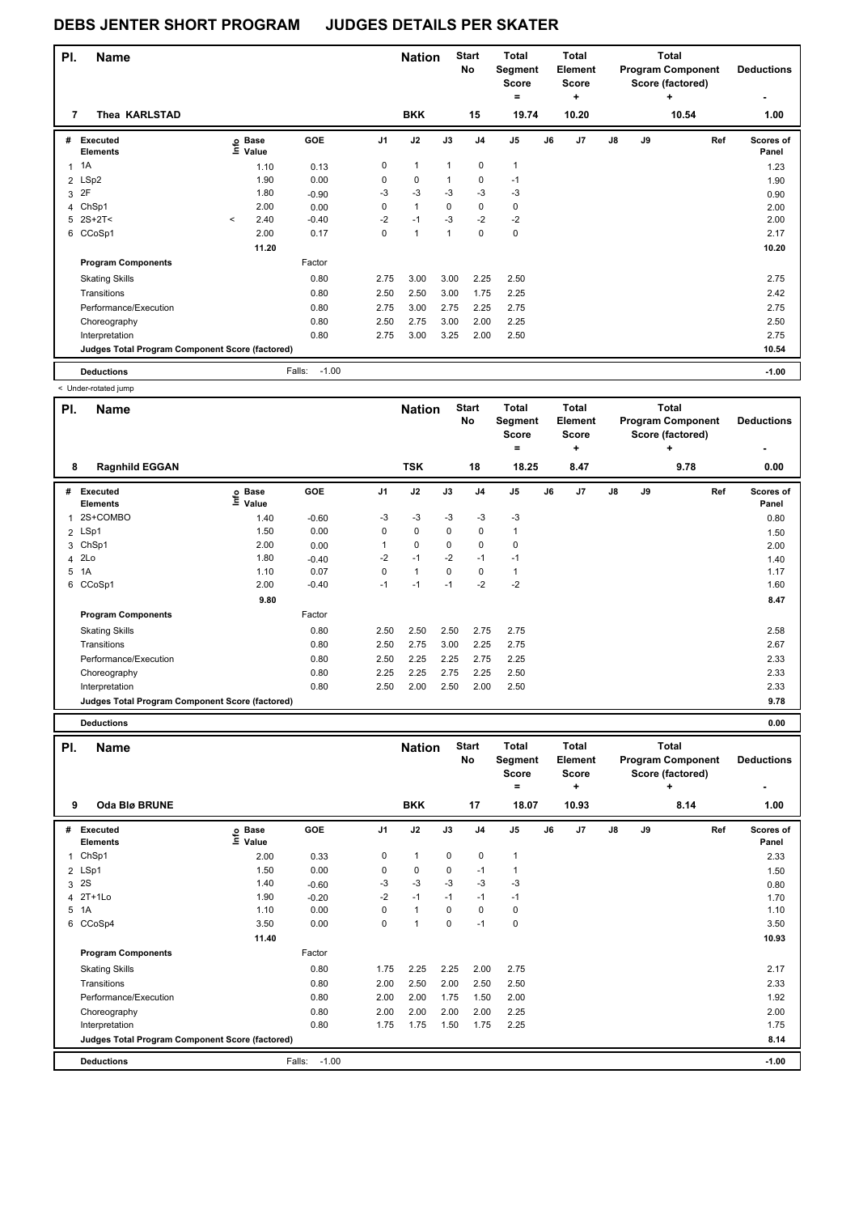| PI. | <b>Name</b>                                     |         |                                  |                   |                | <b>Nation</b> |              | <b>Start</b><br>No | <b>Total</b><br>Segment<br><b>Score</b> |    | Total<br>Element<br><b>Score</b> |               |    | <b>Total</b><br><b>Program Component</b><br>Score (factored) | <b>Deductions</b>  |
|-----|-------------------------------------------------|---------|----------------------------------|-------------------|----------------|---------------|--------------|--------------------|-----------------------------------------|----|----------------------------------|---------------|----|--------------------------------------------------------------|--------------------|
| 7   | Thea KARLSTAD                                   |         |                                  |                   |                | <b>BKK</b>    |              | 15                 | $=$<br>19.74                            |    | ÷<br>10.20                       |               |    | ٠<br>10.54                                                   | ٠<br>1.00          |
| #   | Executed<br><b>Elements</b>                     |         | <b>Base</b><br>e Base<br>⊑ Value | GOE               | J <sub>1</sub> | J2            | J3           | J <sub>4</sub>     | J <sub>5</sub>                          | J6 | J7                               | $\mathsf{J}8$ | J9 | Ref                                                          | Scores of<br>Panel |
| 1   | 1A                                              |         | 1.10                             | 0.13              | 0              | $\mathbf{1}$  | $\mathbf{1}$ | 0                  | $\mathbf{1}$                            |    |                                  |               |    |                                                              | 1.23               |
|     | 2 LSp2                                          |         | 1.90                             | 0.00              | 0              | 0             | 1            | 0                  | $-1$                                    |    |                                  |               |    |                                                              | 1.90               |
| 3   | 2F                                              |         | 1.80                             | $-0.90$           | $-3$           | $-3$          | $-3$         | $-3$               | $-3$                                    |    |                                  |               |    |                                                              | 0.90               |
| 4   | ChSp1                                           |         | 2.00                             | 0.00              | 0              | $\mathbf{1}$  | $\mathbf 0$  | 0                  | 0                                       |    |                                  |               |    |                                                              | 2.00               |
|     | $5$ 2S+2T<                                      | $\prec$ | 2.40                             | $-0.40$           | $-2$           | $-1$          | $-3$         | $-2$               | $-2$                                    |    |                                  |               |    |                                                              | 2.00               |
|     | 6 CCoSp1                                        |         | 2.00                             | 0.17              | 0              | $\mathbf{1}$  | $\mathbf{1}$ | $\Omega$           | $\mathbf 0$                             |    |                                  |               |    |                                                              | 2.17               |
|     |                                                 |         | 11.20                            |                   |                |               |              |                    |                                         |    |                                  |               |    |                                                              | 10.20              |
|     | <b>Program Components</b>                       |         |                                  | Factor            |                |               |              |                    |                                         |    |                                  |               |    |                                                              |                    |
|     | <b>Skating Skills</b>                           |         |                                  | 0.80              | 2.75           | 3.00          | 3.00         | 2.25               | 2.50                                    |    |                                  |               |    |                                                              | 2.75               |
|     | Transitions                                     |         |                                  | 0.80              | 2.50           | 2.50          | 3.00         | 1.75               | 2.25                                    |    |                                  |               |    |                                                              | 2.42               |
|     | Performance/Execution                           |         |                                  | 0.80              | 2.75           | 3.00          | 2.75         | 2.25               | 2.75                                    |    |                                  |               |    |                                                              | 2.75               |
|     | Choreography                                    |         |                                  | 0.80              | 2.50           | 2.75          | 3.00         | 2.00               | 2.25                                    |    |                                  |               |    |                                                              | 2.50               |
|     | Interpretation                                  |         |                                  | 0.80              | 2.75           | 3.00          | 3.25         | 2.00               | 2.50                                    |    |                                  |               |    |                                                              | 2.75               |
|     | Judges Total Program Component Score (factored) |         |                                  |                   |                |               |              |                    |                                         |    |                                  |               |    |                                                              | 10.54              |
|     | <b>Deductions</b>                               |         |                                  | $-1.00$<br>Falls: |                |               |              |                    |                                         |    |                                  |               |    |                                                              | $-1.00$            |

< Under-rotated jump

| PI. | <b>Name</b>                                     |                   |            |                | <b>Nation</b> |      | <b>Start</b><br><b>No</b> | <b>Total</b><br>Segment<br><b>Score</b><br>$\equiv$ |    | <b>Total</b><br><b>Element</b><br><b>Score</b><br>٠ |               |    | <b>Total</b><br><b>Program Component</b><br>Score (factored)<br>٠ | <b>Deductions</b>  |
|-----|-------------------------------------------------|-------------------|------------|----------------|---------------|------|---------------------------|-----------------------------------------------------|----|-----------------------------------------------------|---------------|----|-------------------------------------------------------------------|--------------------|
| 8   | <b>Ragnhild EGGAN</b>                           |                   |            |                | <b>TSK</b>    |      | 18                        | 18.25                                               |    | 8.47                                                |               |    | 9.78                                                              | 0.00               |
| #   | Executed<br><b>Elements</b>                     | e Base<br>E Value | <b>GOE</b> | J <sub>1</sub> | J2            | J3   | J <sub>4</sub>            | J <sub>5</sub>                                      | J6 | J7                                                  | $\mathsf{J}8$ | J9 | Ref                                                               | Scores of<br>Panel |
| 1   | 2S+COMBO                                        | 1.40              | $-0.60$    | $-3$           | $-3$          | $-3$ | $-3$                      | $-3$                                                |    |                                                     |               |    |                                                                   | 0.80               |
|     | 2 LSp1                                          | 1.50              | 0.00       | $\mathbf 0$    | $\mathbf 0$   | 0    | 0                         | 1                                                   |    |                                                     |               |    |                                                                   | 1.50               |
| 3   | ChSp1                                           | 2.00              | 0.00       | 1              | 0             | 0    | 0                         | 0                                                   |    |                                                     |               |    |                                                                   | 2.00               |
|     | 4 2Lo                                           | 1.80              | $-0.40$    | $-2$           | $-1$          | $-2$ | $-1$                      | $-1$                                                |    |                                                     |               |    |                                                                   | 1.40               |
| 5   | 1A                                              | 1.10              | 0.07       | 0              | $\mathbf{1}$  | 0    | $\mathbf 0$               | 1                                                   |    |                                                     |               |    |                                                                   | 1.17               |
| 6   | CCoSp1                                          | 2.00              | $-0.40$    | $-1$           | $-1$          | $-1$ | $-2$                      | $-2$                                                |    |                                                     |               |    |                                                                   | 1.60               |
|     |                                                 | 9.80              |            |                |               |      |                           |                                                     |    |                                                     |               |    |                                                                   | 8.47               |
|     | <b>Program Components</b>                       |                   | Factor     |                |               |      |                           |                                                     |    |                                                     |               |    |                                                                   |                    |
|     | <b>Skating Skills</b>                           |                   | 0.80       | 2.50           | 2.50          | 2.50 | 2.75                      | 2.75                                                |    |                                                     |               |    |                                                                   | 2.58               |
|     | Transitions                                     |                   | 0.80       | 2.50           | 2.75          | 3.00 | 2.25                      | 2.75                                                |    |                                                     |               |    |                                                                   | 2.67               |
|     | Performance/Execution                           |                   | 0.80       | 2.50           | 2.25          | 2.25 | 2.75                      | 2.25                                                |    |                                                     |               |    |                                                                   | 2.33               |
|     | Choreography                                    |                   | 0.80       | 2.25           | 2.25          | 2.75 | 2.25                      | 2.50                                                |    |                                                     |               |    |                                                                   | 2.33               |
|     | Interpretation                                  |                   | 0.80       | 2.50           | 2.00          | 2.50 | 2.00                      | 2.50                                                |    |                                                     |               |    |                                                                   | 2.33               |
|     | Judges Total Program Component Score (factored) |                   |            |                |               |      |                           |                                                     |    |                                                     |               |    |                                                                   | 9.78               |
|     | <b>Deductions</b>                               |                   |            |                |               |      |                           |                                                     |    |                                                     |               |    |                                                                   | 0.00               |

| PI.            | <b>Name</b>                                     |                                  |                   |                | <b>Nation</b>  |             | <b>Start</b><br><b>No</b> | <b>Total</b><br>Segment<br><b>Score</b><br>$=$ |    | <b>Total</b><br>Element<br><b>Score</b><br>٠ |    |    | <b>Total</b><br><b>Program Component</b><br>Score (factored)<br>÷ | <b>Deductions</b>  |
|----------------|-------------------------------------------------|----------------------------------|-------------------|----------------|----------------|-------------|---------------------------|------------------------------------------------|----|----------------------------------------------|----|----|-------------------------------------------------------------------|--------------------|
| 9              | Oda Blø BRUNE                                   |                                  |                   |                | <b>BKK</b>     |             | 17                        | 18.07                                          |    | 10.93                                        |    |    | 8.14                                                              | 1.00               |
| #              | <b>Executed</b><br><b>Elements</b>              | <b>Base</b><br>e Base<br>⊑ Value | GOE               | J <sub>1</sub> | J2             | J3          | J <sub>4</sub>            | J <sub>5</sub>                                 | J6 | J7                                           | J8 | J9 | Ref                                                               | Scores of<br>Panel |
| 1              | ChSp1                                           | 2.00                             | 0.33              | 0              | $\mathbf{1}$   | $\mathbf 0$ | $\pmb{0}$                 | $\mathbf{1}$                                   |    |                                              |    |    |                                                                   | 2.33               |
|                | 2 LSp1                                          | 1.50                             | 0.00              | 0              | 0              | 0           | $-1$                      | 1                                              |    |                                              |    |    |                                                                   | 1.50               |
| 3              | <b>2S</b>                                       | 1.40                             | $-0.60$           | -3             | $-3$           | $-3$        | $-3$                      | $-3$                                           |    |                                              |    |    |                                                                   | 0.80               |
|                | 4 2T+1Lo                                        | 1.90                             | $-0.20$           | $-2$           | $-1$           | $-1$        | $-1$                      | $-1$                                           |    |                                              |    |    |                                                                   | 1.70               |
| 5 <sup>5</sup> | 1A                                              | 1.10                             | 0.00              | 0              | $\overline{1}$ | 0           | $\mathbf 0$               | 0                                              |    |                                              |    |    |                                                                   | 1.10               |
| 6              | CCoSp4                                          | 3.50                             | 0.00              | 0              | $\overline{1}$ | 0           | $-1$                      | 0                                              |    |                                              |    |    |                                                                   | 3.50               |
|                |                                                 | 11.40                            |                   |                |                |             |                           |                                                |    |                                              |    |    |                                                                   | 10.93              |
|                | <b>Program Components</b>                       |                                  | Factor            |                |                |             |                           |                                                |    |                                              |    |    |                                                                   |                    |
|                | <b>Skating Skills</b>                           |                                  | 0.80              | 1.75           | 2.25           | 2.25        | 2.00                      | 2.75                                           |    |                                              |    |    |                                                                   | 2.17               |
|                | Transitions                                     |                                  | 0.80              | 2.00           | 2.50           | 2.00        | 2.50                      | 2.50                                           |    |                                              |    |    |                                                                   | 2.33               |
|                | Performance/Execution                           |                                  | 0.80              | 2.00           | 2.00           | 1.75        | 1.50                      | 2.00                                           |    |                                              |    |    |                                                                   | 1.92               |
|                | Choreography                                    |                                  | 0.80              | 2.00           | 2.00           | 2.00        | 2.00                      | 2.25                                           |    |                                              |    |    |                                                                   | 2.00               |
|                | Interpretation                                  |                                  | 0.80              | 1.75           | 1.75           | 1.50        | 1.75                      | 2.25                                           |    |                                              |    |    |                                                                   | 1.75               |
|                | Judges Total Program Component Score (factored) |                                  |                   |                |                |             |                           |                                                |    |                                              |    |    |                                                                   | 8.14               |
|                | <b>Deductions</b>                               |                                  | $-1.00$<br>Falls: |                |                |             |                           |                                                |    |                                              |    |    |                                                                   | $-1.00$            |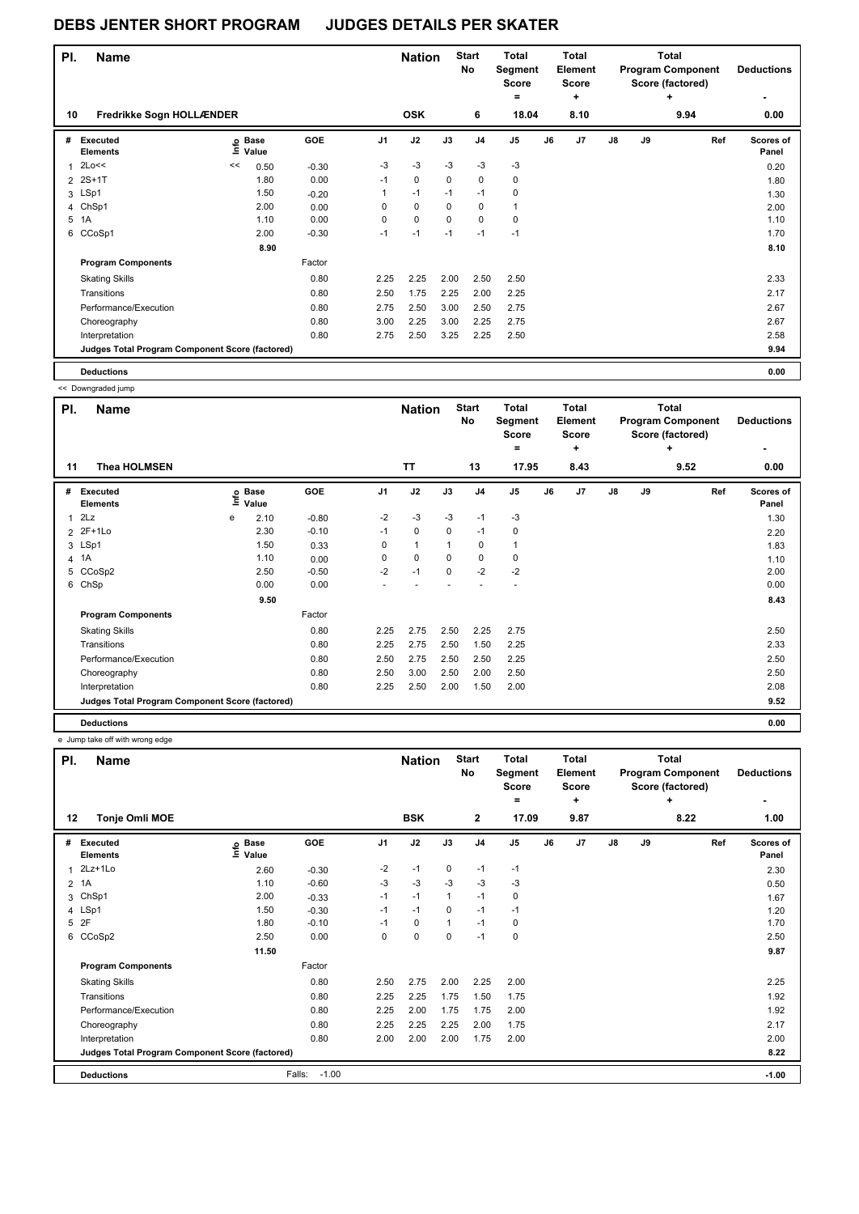| PI. | <b>Name</b>                                     |    |                            |         |                | <b>Nation</b> |      | <b>Start</b><br>No | Total<br>Segment<br><b>Score</b><br>$=$ |    | <b>Total</b><br>Element<br><b>Score</b><br>÷ |    |    | Total<br><b>Program Component</b><br>Score (factored)<br>٠ | <b>Deductions</b>  |
|-----|-------------------------------------------------|----|----------------------------|---------|----------------|---------------|------|--------------------|-----------------------------------------|----|----------------------------------------------|----|----|------------------------------------------------------------|--------------------|
| 10  | Fredrikke Sogn HOLLÆNDER                        |    |                            |         |                | <b>OSK</b>    |      | 6                  | 18.04                                   |    | 8.10                                         |    |    | 9.94                                                       | 0.00               |
| #   | Executed<br><b>Elements</b>                     |    | e Base<br>≡ Value<br>Value | GOE     | J <sub>1</sub> | J2            | J3   | J <sub>4</sub>     | J <sub>5</sub>                          | J6 | J <sub>7</sub>                               | J8 | J9 | Ref                                                        | Scores of<br>Panel |
| 1   | 2Lo<<                                           | << | 0.50                       | $-0.30$ | $-3$           | $-3$          | $-3$ | $-3$               | $-3$                                    |    |                                              |    |    |                                                            | 0.20               |
|     | 2 2S+1T                                         |    | 1.80                       | 0.00    | $-1$           | 0             | 0    | 0                  | 0                                       |    |                                              |    |    |                                                            | 1.80               |
|     | 3 LSp1                                          |    | 1.50                       | $-0.20$ |                | $-1$          | $-1$ | $-1$               | 0                                       |    |                                              |    |    |                                                            | 1.30               |
|     | 4 ChSp1                                         |    | 2.00                       | 0.00    | $\Omega$       | 0             | 0    | 0                  | 1                                       |    |                                              |    |    |                                                            | 2.00               |
| 5   | 1A                                              |    | 1.10                       | 0.00    | 0              | 0             | 0    | 0                  | 0                                       |    |                                              |    |    |                                                            | 1.10               |
|     | 6 CCoSp1                                        |    | 2.00                       | $-0.30$ | $-1$           | $-1$          | $-1$ | $-1$               | $-1$                                    |    |                                              |    |    |                                                            | 1.70               |
|     |                                                 |    | 8.90                       |         |                |               |      |                    |                                         |    |                                              |    |    |                                                            | 8.10               |
|     | <b>Program Components</b>                       |    |                            | Factor  |                |               |      |                    |                                         |    |                                              |    |    |                                                            |                    |
|     | <b>Skating Skills</b>                           |    |                            | 0.80    | 2.25           | 2.25          | 2.00 | 2.50               | 2.50                                    |    |                                              |    |    |                                                            | 2.33               |
|     | Transitions                                     |    |                            | 0.80    | 2.50           | 1.75          | 2.25 | 2.00               | 2.25                                    |    |                                              |    |    |                                                            | 2.17               |
|     | Performance/Execution                           |    |                            | 0.80    | 2.75           | 2.50          | 3.00 | 2.50               | 2.75                                    |    |                                              |    |    |                                                            | 2.67               |
|     | Choreography                                    |    |                            | 0.80    | 3.00           | 2.25          | 3.00 | 2.25               | 2.75                                    |    |                                              |    |    |                                                            | 2.67               |
|     | Interpretation                                  |    |                            | 0.80    | 2.75           | 2.50          | 3.25 | 2.25               | 2.50                                    |    |                                              |    |    |                                                            | 2.58               |
|     | Judges Total Program Component Score (factored) |    |                            |         |                |               |      |                    |                                         |    |                                              |    |    |                                                            | 9.94               |
|     | <b>Deductions</b>                               |    |                            |         |                |               |      |                    |                                         |    |                                              |    |    |                                                            | 0.00               |

<< Downgraded jump

| PI.            | <b>Name</b>                                     |   |                            |         |                | <b>Nation</b> |          | <b>Start</b><br>No | <b>Total</b><br>Segment<br><b>Score</b><br>$=$ |    | Total<br>Element<br><b>Score</b><br>٠ |               |    | Total<br><b>Program Component</b><br>Score (factored)<br>٠ | <b>Deductions</b>  |
|----------------|-------------------------------------------------|---|----------------------------|---------|----------------|---------------|----------|--------------------|------------------------------------------------|----|---------------------------------------|---------------|----|------------------------------------------------------------|--------------------|
| 11             | <b>Thea HOLMSEN</b>                             |   |                            |         |                | <b>TT</b>     |          | 13                 | 17.95                                          |    | 8.43                                  |               |    | 9.52                                                       | 0.00               |
| #              | Executed<br><b>Elements</b>                     |   | e Base<br>E Value<br>Value | GOE     | J <sub>1</sub> | J2            | J3       | J <sub>4</sub>     | J <sub>5</sub>                                 | J6 | J7                                    | $\mathsf{J}8$ | J9 | Ref                                                        | Scores of<br>Panel |
| 1              | 2Lz                                             | e | 2.10                       | $-0.80$ | $-2$           | $-3$          | -3       | $-1$               | $-3$                                           |    |                                       |               |    |                                                            | 1.30               |
|                | 2 2F+1Lo                                        |   | 2.30                       | $-0.10$ | $-1$           | $\mathbf 0$   | 0        | $-1$               | 0                                              |    |                                       |               |    |                                                            | 2.20               |
|                | 3 LSp1                                          |   | 1.50                       | 0.33    | 0              | $\mathbf{1}$  | 1        | 0                  | 1                                              |    |                                       |               |    |                                                            | 1.83               |
| $\overline{4}$ | 1A                                              |   | 1.10                       | 0.00    | 0              | $\mathbf 0$   | $\Omega$ | 0                  | 0                                              |    |                                       |               |    |                                                            | 1.10               |
|                | 5 CCoSp2                                        |   | 2.50                       | $-0.50$ | $-2$           | $-1$          | 0        | $-2$               | $-2$                                           |    |                                       |               |    |                                                            | 2.00               |
| 6              | ChSp                                            |   | 0.00                       | 0.00    |                |               |          |                    |                                                |    |                                       |               |    |                                                            | 0.00               |
|                |                                                 |   | 9.50                       |         |                |               |          |                    |                                                |    |                                       |               |    |                                                            | 8.43               |
|                | <b>Program Components</b>                       |   |                            | Factor  |                |               |          |                    |                                                |    |                                       |               |    |                                                            |                    |
|                | <b>Skating Skills</b>                           |   |                            | 0.80    | 2.25           | 2.75          | 2.50     | 2.25               | 2.75                                           |    |                                       |               |    |                                                            | 2.50               |
|                | Transitions                                     |   |                            | 0.80    | 2.25           | 2.75          | 2.50     | 1.50               | 2.25                                           |    |                                       |               |    |                                                            | 2.33               |
|                | Performance/Execution                           |   |                            | 0.80    | 2.50           | 2.75          | 2.50     | 2.50               | 2.25                                           |    |                                       |               |    |                                                            | 2.50               |
|                | Choreography                                    |   |                            | 0.80    | 2.50           | 3.00          | 2.50     | 2.00               | 2.50                                           |    |                                       |               |    |                                                            | 2.50               |
|                | Interpretation                                  |   |                            | 0.80    | 2.25           | 2.50          | 2.00     | 1.50               | 2.00                                           |    |                                       |               |    |                                                            | 2.08               |
|                | Judges Total Program Component Score (factored) |   |                            |         |                |               |          |                    |                                                |    |                                       |               |    |                                                            | 9.52               |
|                | <b>Deductions</b>                               |   |                            |         |                |               |          |                    |                                                |    |                                       |               |    |                                                            | 0.00               |

e Jump take off with wrong edge

| PI. | <b>Name</b>                                     |                            |                   |                | <b>Nation</b> |      | <b>Start</b><br>No | Total<br>Segment<br><b>Score</b><br>۰ |    | Total<br>Element<br><b>Score</b><br>÷ |    |    | Total<br><b>Program Component</b><br>Score (factored)<br>٠ | <b>Deductions</b>  |
|-----|-------------------------------------------------|----------------------------|-------------------|----------------|---------------|------|--------------------|---------------------------------------|----|---------------------------------------|----|----|------------------------------------------------------------|--------------------|
| 12  | Tonje Omli MOE                                  |                            |                   |                | <b>BSK</b>    |      | $\overline{2}$     | 17.09                                 |    | 9.87                                  |    |    | 8.22                                                       | 1.00               |
| #   | <b>Executed</b><br><b>Elements</b>              | e Base<br>E Value<br>Value | GOE               | J <sub>1</sub> | J2            | J3   | J <sub>4</sub>     | J5                                    | J6 | J7                                    | J8 | J9 | Ref                                                        | Scores of<br>Panel |
| 1   | $2Lz+1Lo$                                       | 2.60                       | $-0.30$           | $-2$           | $-1$          | 0    | $-1$               | $-1$                                  |    |                                       |    |    |                                                            | 2.30               |
|     | 2 1A                                            | 1.10                       | $-0.60$           | $-3$           | $-3$          | $-3$ | $-3$               | $-3$                                  |    |                                       |    |    |                                                            | 0.50               |
|     | 3 ChSp1                                         | 2.00                       | $-0.33$           | $-1$           | $-1$          | 1    | $-1$               | 0                                     |    |                                       |    |    |                                                            | 1.67               |
|     | 4 LSp1                                          | 1.50                       | $-0.30$           | $-1$           | $-1$          | 0    | $-1$               | $-1$                                  |    |                                       |    |    |                                                            | 1.20               |
|     | 5 2F                                            | 1.80                       | $-0.10$           | $-1$           | 0             | 1    | $-1$               | 0                                     |    |                                       |    |    |                                                            | 1.70               |
|     | 6 CCoSp2                                        | 2.50                       | 0.00              | 0              | 0             | 0    | $-1$               | 0                                     |    |                                       |    |    |                                                            | 2.50               |
|     |                                                 | 11.50                      |                   |                |               |      |                    |                                       |    |                                       |    |    |                                                            | 9.87               |
|     | <b>Program Components</b>                       |                            | Factor            |                |               |      |                    |                                       |    |                                       |    |    |                                                            |                    |
|     | <b>Skating Skills</b>                           |                            | 0.80              | 2.50           | 2.75          | 2.00 | 2.25               | 2.00                                  |    |                                       |    |    |                                                            | 2.25               |
|     | Transitions                                     |                            | 0.80              | 2.25           | 2.25          | 1.75 | 1.50               | 1.75                                  |    |                                       |    |    |                                                            | 1.92               |
|     | Performance/Execution                           |                            | 0.80              | 2.25           | 2.00          | 1.75 | 1.75               | 2.00                                  |    |                                       |    |    |                                                            | 1.92               |
|     | Choreography                                    |                            | 0.80              | 2.25           | 2.25          | 2.25 | 2.00               | 1.75                                  |    |                                       |    |    |                                                            | 2.17               |
|     | Interpretation                                  |                            | 0.80              | 2.00           | 2.00          | 2.00 | 1.75               | 2.00                                  |    |                                       |    |    |                                                            | 2.00               |
|     | Judges Total Program Component Score (factored) |                            |                   |                |               |      |                    |                                       |    |                                       |    |    |                                                            | 8.22               |
|     | <b>Deductions</b>                               |                            | Falls:<br>$-1.00$ |                |               |      |                    |                                       |    |                                       |    |    |                                                            | $-1.00$            |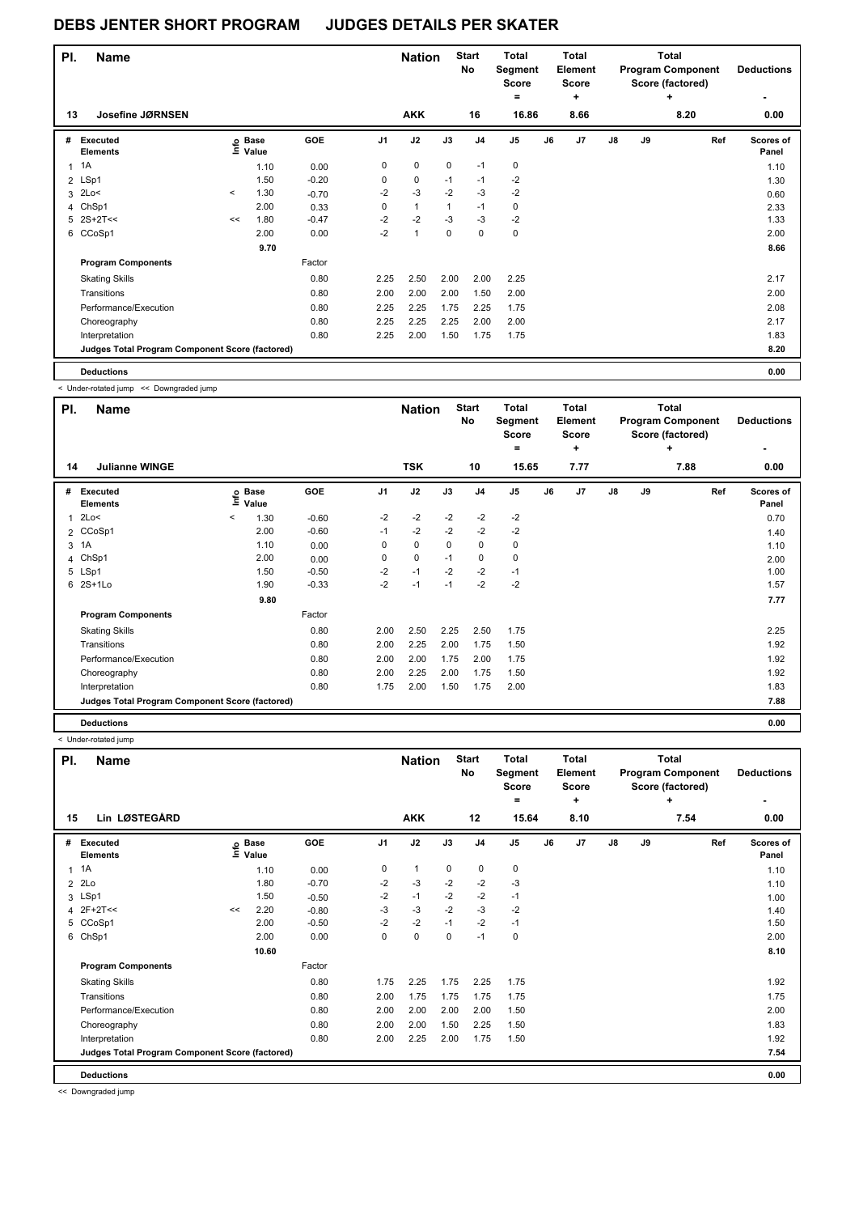| PI.          | <b>Name</b>                                     |         |                                  |         |                | <b>Nation</b>  |             | <b>Start</b><br>No | Total<br>Segment<br><b>Score</b><br>$=$ |    | <b>Total</b><br>Element<br><b>Score</b><br>÷ |               |    | Total<br><b>Program Component</b><br>Score (factored)<br>÷ | <b>Deductions</b>  |
|--------------|-------------------------------------------------|---------|----------------------------------|---------|----------------|----------------|-------------|--------------------|-----------------------------------------|----|----------------------------------------------|---------------|----|------------------------------------------------------------|--------------------|
| 13           | Josefine JØRNSEN                                |         |                                  |         |                | <b>AKK</b>     |             | 16                 | 16.86                                   |    | 8.66                                         |               |    | 8.20                                                       | 0.00               |
| #            | Executed<br><b>Elements</b>                     |         | <b>Base</b><br>e Base<br>⊑ Value | GOE     | J <sub>1</sub> | J2             | J3          | J <sub>4</sub>     | J <sub>5</sub>                          | J6 | J7                                           | $\mathsf{J}8$ | J9 | Ref                                                        | Scores of<br>Panel |
| $\mathbf{1}$ | 1A                                              |         | 1.10                             | 0.00    | 0              | $\mathbf 0$    | $\mathbf 0$ | $-1$               | 0                                       |    |                                              |               |    |                                                            | 1.10               |
|              | 2 LSp1                                          |         | 1.50                             | $-0.20$ | 0              | $\mathbf 0$    | $-1$        | $-1$               | $-2$                                    |    |                                              |               |    |                                                            | 1.30               |
| 3            | 2Lo<                                            | $\prec$ | 1.30                             | $-0.70$ | $-2$           | $-3$           | $-2$        | $-3$               | $-2$                                    |    |                                              |               |    |                                                            | 0.60               |
| 4            | ChSp1                                           |         | 2.00                             | 0.33    | 0              | $\mathbf{1}$   | 1           | $-1$               | 0                                       |    |                                              |               |    |                                                            | 2.33               |
| 5            | $2S+2T<<$                                       | <<      | 1.80                             | $-0.47$ | $-2$           | $-2$           | $-3$        | $-3$               | $-2$                                    |    |                                              |               |    |                                                            | 1.33               |
|              | 6 CCoSp1                                        |         | 2.00                             | 0.00    | $-2$           | $\overline{1}$ | 0           | $\mathbf 0$        | 0                                       |    |                                              |               |    |                                                            | 2.00               |
|              |                                                 |         | 9.70                             |         |                |                |             |                    |                                         |    |                                              |               |    |                                                            | 8.66               |
|              | <b>Program Components</b>                       |         |                                  | Factor  |                |                |             |                    |                                         |    |                                              |               |    |                                                            |                    |
|              | <b>Skating Skills</b>                           |         |                                  | 0.80    | 2.25           | 2.50           | 2.00        | 2.00               | 2.25                                    |    |                                              |               |    |                                                            | 2.17               |
|              | Transitions                                     |         |                                  | 0.80    | 2.00           | 2.00           | 2.00        | 1.50               | 2.00                                    |    |                                              |               |    |                                                            | 2.00               |
|              | Performance/Execution                           |         |                                  | 0.80    | 2.25           | 2.25           | 1.75        | 2.25               | 1.75                                    |    |                                              |               |    |                                                            | 2.08               |
|              | Choreography                                    |         |                                  | 0.80    | 2.25           | 2.25           | 2.25        | 2.00               | 2.00                                    |    |                                              |               |    |                                                            | 2.17               |
|              | Interpretation                                  |         |                                  | 0.80    | 2.25           | 2.00           | 1.50        | 1.75               | 1.75                                    |    |                                              |               |    |                                                            | 1.83               |
|              | Judges Total Program Component Score (factored) |         |                                  |         |                |                |             |                    |                                         |    |                                              |               |    |                                                            | 8.20               |
|              | <b>Deductions</b>                               |         |                                  |         |                |                |             |                    |                                         |    |                                              |               |    |                                                            | 0.00               |

< Under-rotated jump << Downgraded jump

| PI. | <b>Name</b>                                     |         |                            |         |          | <b>Nation</b> |          | <b>Start</b><br>No | <b>Total</b><br>Segment<br><b>Score</b><br>$=$ |    | <b>Total</b><br>Element<br><b>Score</b><br>٠ |    | <b>Total</b><br><b>Program Component</b><br>Score (factored) | <b>Deductions</b> |                           |
|-----|-------------------------------------------------|---------|----------------------------|---------|----------|---------------|----------|--------------------|------------------------------------------------|----|----------------------------------------------|----|--------------------------------------------------------------|-------------------|---------------------------|
| 14  | <b>Julianne WINGE</b>                           |         |                            |         |          | <b>TSK</b>    |          | 10                 | 15.65                                          |    | 7.77                                         |    |                                                              | 7.88              | 0.00                      |
| #   | <b>Executed</b><br><b>Elements</b>              |         | e Base<br>E Value<br>Value | GOE     | J1       | J2            | J3       | J <sub>4</sub>     | J <sub>5</sub>                                 | J6 | J <sub>7</sub>                               | J8 | J9                                                           | Ref               | <b>Scores of</b><br>Panel |
| 1   | 2Lo<                                            | $\prec$ | 1.30                       | $-0.60$ | $-2$     | $-2$          | $-2$     | $-2$               | $-2$                                           |    |                                              |    |                                                              |                   | 0.70                      |
| 2   | CCoSp1                                          |         | 2.00                       | $-0.60$ | $-1$     | $-2$          | $-2$     | $-2$               | $-2$                                           |    |                                              |    |                                                              |                   | 1.40                      |
| 3   | 1A                                              |         | 1.10                       | 0.00    | $\Omega$ | 0             | $\Omega$ | 0                  | 0                                              |    |                                              |    |                                                              |                   | 1.10                      |
| 4   | ChSp1                                           |         | 2.00                       | 0.00    | 0        | 0             | $-1$     | 0                  | 0                                              |    |                                              |    |                                                              |                   | 2.00                      |
|     | 5 LSp1                                          |         | 1.50                       | $-0.50$ | $-2$     | $-1$          | $-2$     | $-2$               | $-1$                                           |    |                                              |    |                                                              |                   | 1.00                      |
| 6   | $2S+1L0$                                        |         | 1.90                       | $-0.33$ | $-2$     | $-1$          | $-1$     | $-2$               | $-2$                                           |    |                                              |    |                                                              |                   | 1.57                      |
|     |                                                 |         | 9.80                       |         |          |               |          |                    |                                                |    |                                              |    |                                                              |                   | 7.77                      |
|     | <b>Program Components</b>                       |         |                            | Factor  |          |               |          |                    |                                                |    |                                              |    |                                                              |                   |                           |
|     | <b>Skating Skills</b>                           |         |                            | 0.80    | 2.00     | 2.50          | 2.25     | 2.50               | 1.75                                           |    |                                              |    |                                                              |                   | 2.25                      |
|     | Transitions                                     |         |                            | 0.80    | 2.00     | 2.25          | 2.00     | 1.75               | 1.50                                           |    |                                              |    |                                                              |                   | 1.92                      |
|     | Performance/Execution                           |         |                            | 0.80    | 2.00     | 2.00          | 1.75     | 2.00               | 1.75                                           |    |                                              |    |                                                              |                   | 1.92                      |
|     | Choreography                                    |         |                            | 0.80    | 2.00     | 2.25          | 2.00     | 1.75               | 1.50                                           |    |                                              |    |                                                              |                   | 1.92                      |
|     | Interpretation                                  |         |                            | 0.80    | 1.75     | 2.00          | 1.50     | 1.75               | 2.00                                           |    |                                              |    |                                                              |                   | 1.83                      |
|     | Judges Total Program Component Score (factored) |         |                            |         |          |               |          |                    |                                                |    |                                              |    |                                                              |                   | 7.88                      |
|     | <b>Deductions</b>                               |         |                            |         |          |               |          |                    |                                                |    |                                              |    |                                                              |                   | 0.00                      |

< Under-rotated jump

| PI.            | <b>Name</b>                                     |    |                      |         |                | <b>Nation</b> |             | <b>Start</b><br>No | <b>Total</b><br>Segment<br><b>Score</b><br>۰ |    | <b>Total</b><br>Element<br><b>Score</b><br>$\ddot{}$ |    | Total<br><b>Program Component</b><br>Score (factored) | <b>Deductions</b> |                    |
|----------------|-------------------------------------------------|----|----------------------|---------|----------------|---------------|-------------|--------------------|----------------------------------------------|----|------------------------------------------------------|----|-------------------------------------------------------|-------------------|--------------------|
| 15             | Lin LØSTEGÅRD                                   |    |                      |         |                | <b>AKK</b>    |             | 12                 | 15.64                                        |    | 8.10                                                 |    |                                                       | 7.54              | 0.00               |
| #              | Executed<br><b>Elements</b>                     | e  | <b>Base</b><br>Value | GOE     | J <sub>1</sub> | J2            | J3          | J <sub>4</sub>     | J <sub>5</sub>                               | J6 | J7                                                   | J8 | J9                                                    | Ref               | Scores of<br>Panel |
| 1              | 1A                                              |    | 1.10                 | 0.00    | 0              | $\mathbf{1}$  | 0           | 0                  | 0                                            |    |                                                      |    |                                                       |                   | 1.10               |
| $\overline{2}$ | 2Lo                                             |    | 1.80                 | $-0.70$ | $-2$           | $-3$          | $-2$        | $-2$               | $-3$                                         |    |                                                      |    |                                                       |                   | 1.10               |
|                | 3 LSp1                                          |    | 1.50                 | $-0.50$ | $-2$           | $-1$          | $-2$        | $-2$               | $-1$                                         |    |                                                      |    |                                                       |                   | 1.00               |
| 4              | $2F+2T<<$                                       | << | 2.20                 | $-0.80$ | -3             | -3            | $-2$        | $-3$               | $-2$                                         |    |                                                      |    |                                                       |                   | 1.40               |
|                | 5 CCoSp1                                        |    | 2.00                 | $-0.50$ | $-2$           | $-2$          | $-1$        | $-2$               | $-1$                                         |    |                                                      |    |                                                       |                   | 1.50               |
|                | 6 ChSp1                                         |    | 2.00                 | 0.00    | 0              | 0             | $\mathbf 0$ | $-1$               | $\pmb{0}$                                    |    |                                                      |    |                                                       |                   | 2.00               |
|                |                                                 |    | 10.60                |         |                |               |             |                    |                                              |    |                                                      |    |                                                       |                   | 8.10               |
|                | <b>Program Components</b>                       |    |                      | Factor  |                |               |             |                    |                                              |    |                                                      |    |                                                       |                   |                    |
|                | <b>Skating Skills</b>                           |    |                      | 0.80    | 1.75           | 2.25          | 1.75        | 2.25               | 1.75                                         |    |                                                      |    |                                                       |                   | 1.92               |
|                | Transitions                                     |    |                      | 0.80    | 2.00           | 1.75          | 1.75        | 1.75               | 1.75                                         |    |                                                      |    |                                                       |                   | 1.75               |
|                | Performance/Execution                           |    |                      | 0.80    | 2.00           | 2.00          | 2.00        | 2.00               | 1.50                                         |    |                                                      |    |                                                       |                   | 2.00               |
|                | Choreography                                    |    |                      | 0.80    | 2.00           | 2.00          | 1.50        | 2.25               | 1.50                                         |    |                                                      |    |                                                       |                   | 1.83               |
|                | Interpretation                                  |    |                      | 0.80    | 2.00           | 2.25          | 2.00        | 1.75               | 1.50                                         |    |                                                      |    |                                                       |                   | 1.92               |
|                | Judges Total Program Component Score (factored) |    |                      |         |                |               |             |                    |                                              |    |                                                      |    |                                                       |                   | 7.54               |
|                | <b>Deductions</b>                               |    |                      |         |                |               |             |                    |                                              |    |                                                      |    |                                                       |                   | 0.00               |

<< Downgraded jump